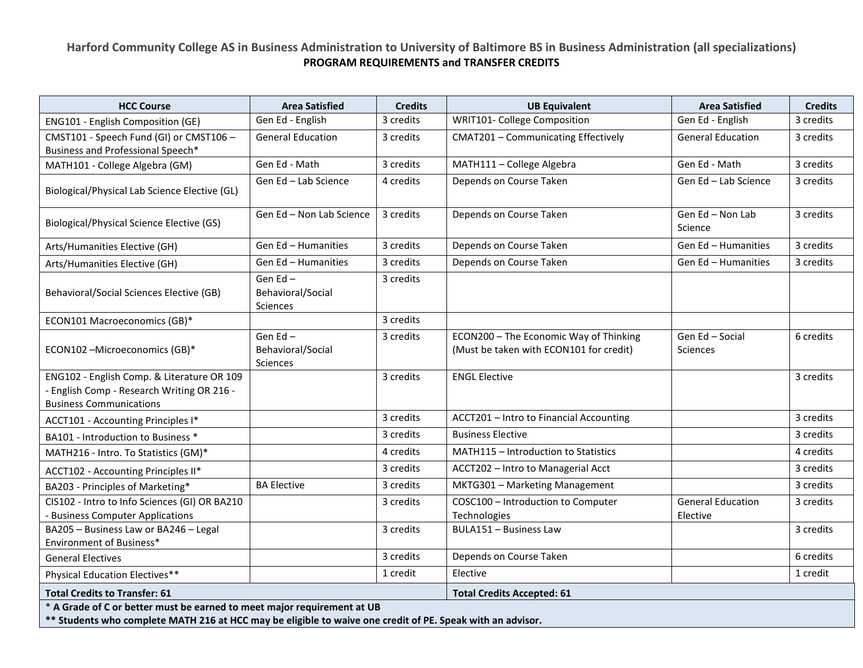## **Harford Community College AS in Business Administration to University of Baltimore BS in Business Administration (all specializations) PROGRAM REQUIREMENTS and TRANSFER CREDITS**

| <b>HCC Course</b>                                                                                                                                                                     | <b>Area Satisfied</b>                           | <b>Credits</b> | <b>UB Equivalent</b>                                                              | <b>Area Satisfied</b>                | <b>Credits</b> |  |  |  |
|---------------------------------------------------------------------------------------------------------------------------------------------------------------------------------------|-------------------------------------------------|----------------|-----------------------------------------------------------------------------------|--------------------------------------|----------------|--|--|--|
| ENG101 - English Composition (GE)                                                                                                                                                     | Gen Ed - English                                | 3 credits      | <b>WRIT101- College Composition</b>                                               | Gen Ed - English                     | 3 credits      |  |  |  |
| CMST101 - Speech Fund (GI) or CMST106 -<br>Business and Professional Speech*                                                                                                          | <b>General Education</b>                        | 3 credits      | CMAT201 - Communicating Effectively                                               | <b>General Education</b>             | 3 credits      |  |  |  |
| MATH101 - College Algebra (GM)                                                                                                                                                        | Gen Ed - Math                                   | 3 credits      | MATH111 - College Algebra                                                         | Gen Ed - Math                        | 3 credits      |  |  |  |
| Biological/Physical Lab Science Elective (GL)                                                                                                                                         | Gen Ed - Lab Science                            | 4 credits      | Depends on Course Taken                                                           | Gen Ed - Lab Science                 | 3 credits      |  |  |  |
| Biological/Physical Science Elective (GS)                                                                                                                                             | Gen Ed - Non Lab Science                        | 3 credits      | Depends on Course Taken                                                           | Gen Ed - Non Lab<br>Science          | 3 credits      |  |  |  |
| Arts/Humanities Elective (GH)                                                                                                                                                         | Gen Ed - Humanities                             | 3 credits      | Depends on Course Taken                                                           | Gen Ed - Humanities                  | 3 credits      |  |  |  |
| Arts/Humanities Elective (GH)                                                                                                                                                         | Gen Ed - Humanities                             | 3 credits      | Depends on Course Taken                                                           | Gen Ed - Humanities                  | 3 credits      |  |  |  |
| Behavioral/Social Sciences Elective (GB)                                                                                                                                              | Gen Ed-<br>Behavioral/Social<br><b>Sciences</b> | 3 credits      |                                                                                   |                                      |                |  |  |  |
| ECON101 Macroeconomics (GB)*                                                                                                                                                          |                                                 | 3 credits      |                                                                                   |                                      |                |  |  |  |
| ECON102-Microeconomics (GB)*                                                                                                                                                          | Gen Ed-<br>Behavioral/Social<br>Sciences        | 3 credits      | ECON200 - The Economic Way of Thinking<br>(Must be taken with ECON101 for credit) | Gen Ed - Social<br><b>Sciences</b>   | 6 credits      |  |  |  |
| ENG102 - English Comp. & Literature OR 109<br>- English Comp - Research Writing OR 216 -<br><b>Business Communications</b>                                                            |                                                 | 3 credits      | <b>ENGL Elective</b>                                                              |                                      | 3 credits      |  |  |  |
| ACCT101 - Accounting Principles I*                                                                                                                                                    |                                                 | 3 credits      | ACCT201 - Intro to Financial Accounting                                           |                                      | 3 credits      |  |  |  |
| BA101 - Introduction to Business *                                                                                                                                                    |                                                 | 3 credits      | <b>Business Elective</b>                                                          |                                      | 3 credits      |  |  |  |
| MATH216 - Intro. To Statistics (GM)*                                                                                                                                                  |                                                 | 4 credits      | MATH115 - Introduction to Statistics                                              |                                      | 4 credits      |  |  |  |
| ACCT102 - Accounting Principles II*                                                                                                                                                   |                                                 | 3 credits      | ACCT202 - Intro to Managerial Acct                                                |                                      | 3 credits      |  |  |  |
| BA203 - Principles of Marketing*                                                                                                                                                      | <b>BA Elective</b>                              | 3 credits      | MKTG301 - Marketing Management                                                    |                                      | 3 credits      |  |  |  |
| CIS102 - Intro to Info Sciences (GI) OR BA210<br><b>Business Computer Applications</b>                                                                                                |                                                 | 3 credits      | COSC100 - Introduction to Computer<br>Technologies                                | <b>General Education</b><br>Elective | 3 credits      |  |  |  |
| BA205 - Business Law or BA246 - Legal<br>Environment of Business*                                                                                                                     |                                                 | 3 credits      | <b>BULA151 - Business Law</b>                                                     |                                      | 3 credits      |  |  |  |
| <b>General Electives</b>                                                                                                                                                              |                                                 | 3 credits      | Depends on Course Taken                                                           |                                      | 6 credits      |  |  |  |
| Physical Education Electives**                                                                                                                                                        |                                                 | 1 credit       | Elective                                                                          |                                      | 1 credit       |  |  |  |
| <b>Total Credits to Transfer: 61</b>                                                                                                                                                  |                                                 |                | <b>Total Credits Accepted: 61</b>                                                 |                                      |                |  |  |  |
| * A Grade of C or better must be earned to meet major requirement at UB<br>** Students who complete MATH 216 at HCC may be eligible to waive one credit of PE. Speak with an advisor. |                                                 |                |                                                                                   |                                      |                |  |  |  |